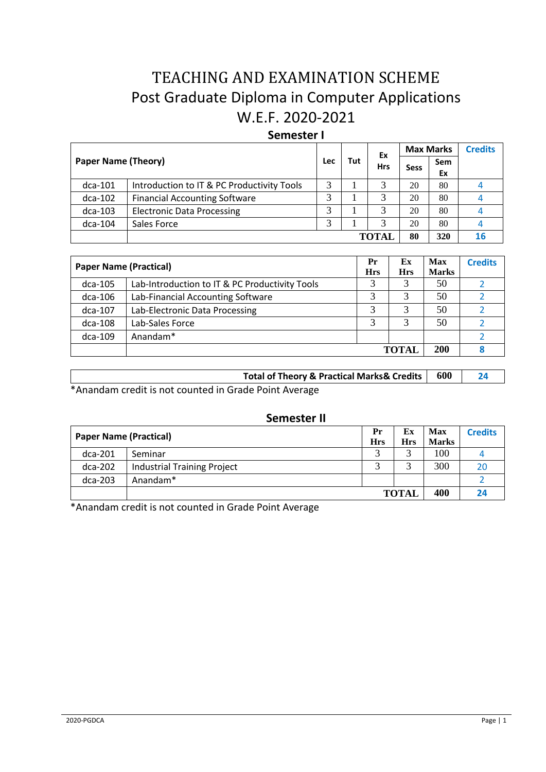# TEACHING AND EXAMINATION SCHEME Post Graduate Diploma in Computer Applications W.E.F. 2020-2021

# **Semester I**

|                            |                                            |            |     | Ex         | <b>Max Marks</b> |           | <b>Credits</b> |
|----------------------------|--------------------------------------------|------------|-----|------------|------------------|-----------|----------------|
| <b>Paper Name (Theory)</b> |                                            | <b>Lec</b> | Tut | <b>Hrs</b> | <b>Sess</b>      | Sem<br>Ex |                |
| $dca-101$                  | Introduction to IT & PC Productivity Tools | 3          |     | 3          | 20               | 80        |                |
| $dca-102$                  | <b>Financial Accounting Software</b>       | 3          |     | 3          | 20               | 80        |                |
| $dca-103$                  | <b>Electronic Data Processing</b>          | 3          |     | 3          | 20               | 80        |                |
| $dca-104$                  | Sales Force                                |            |     |            | 20               | 80        |                |
|                            |                                            |            |     | TOTAI      | 80               | 320       | <b>16</b>      |

| <b>Paper Name (Practical)</b> |                                                | Pr<br><b>Hrs</b> | Ex<br><b>Hrs</b> | <b>Max</b><br><b>Marks</b> | <b>Credits</b> |
|-------------------------------|------------------------------------------------|------------------|------------------|----------------------------|----------------|
| $dca-105$                     | Lab-Introduction to IT & PC Productivity Tools |                  | 3                | 50                         |                |
| $dca-106$                     | Lab-Financial Accounting Software              |                  | 3                | 50                         |                |
| dca-107                       | Lab-Electronic Data Processing                 |                  |                  | 50                         |                |
| $dca-108$                     | Lab-Sales Force                                |                  |                  | 50                         |                |
| $dca-109$                     | Anandam*                                       |                  |                  |                            |                |
|                               |                                                |                  | ТОТАІ            | <b>200</b>                 |                |

| Total of Theory & Practical Marks& Credits   600 |  |
|--------------------------------------------------|--|
|                                                  |  |

\*Anandam credit is not counted in Grade Point Average

| Semester II |  |
|-------------|--|
|-------------|--|

| <b>Paper Name (Practical)</b> |                                    | Pr         | Ex           | Max          | <b>Credits</b> |
|-------------------------------|------------------------------------|------------|--------------|--------------|----------------|
|                               |                                    | <b>Hrs</b> | <b>Hrs</b>   | <b>Marks</b> |                |
| $dca-201$                     | Seminar                            |            | ⌒            | 100          |                |
| $dca-202$                     | <b>Industrial Training Project</b> |            | ⌒            | 300          | 20             |
| $dca-203$                     | Anandam <sup>*</sup>               |            |              |              |                |
|                               |                                    |            | <b>TOTAL</b> | 400          | 24             |

\*Anandam credit is not counted in Grade Point Average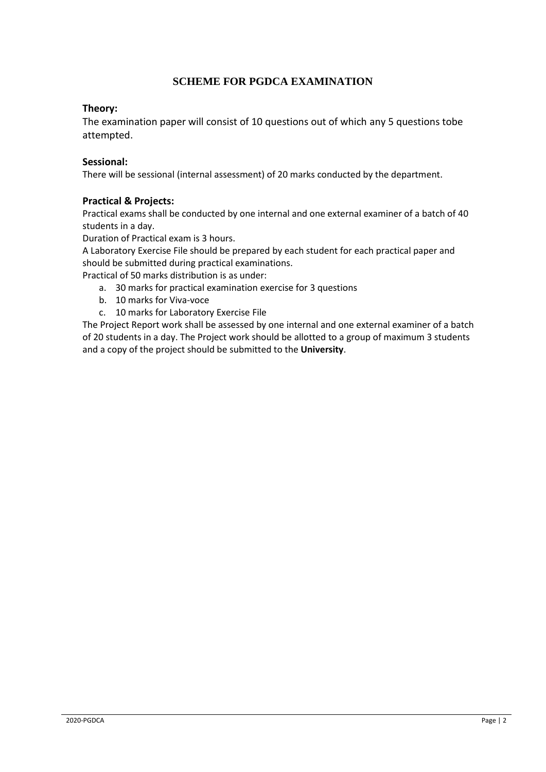# **SCHEME FOR PGDCA EXAMINATION**

# **Theory:**

The examination paper will consist of 10 questions out of which any 5 questions tobe attempted.

## **Sessional:**

There will be sessional (internal assessment) of 20 marks conducted by the department.

# **Practical & Projects:**

Practical exams shall be conducted by one internal and one external examiner of a batch of 40 students in a day.

Duration of Practical exam is 3 hours.

A Laboratory Exercise File should be prepared by each student for each practical paper and should be submitted during practical examinations.

Practical of 50 marks distribution is as under:

- a. 30 marks for practical examination exercise for 3 questions
- b. 10 marks for Viva-voce
- c. 10 marks for Laboratory Exercise File

The Project Report work shall be assessed by one internal and one external examiner of a batch of 20 students in a day. The Project work should be allotted to a group of maximum 3 students and a copy of the project should be submitted to the **University**.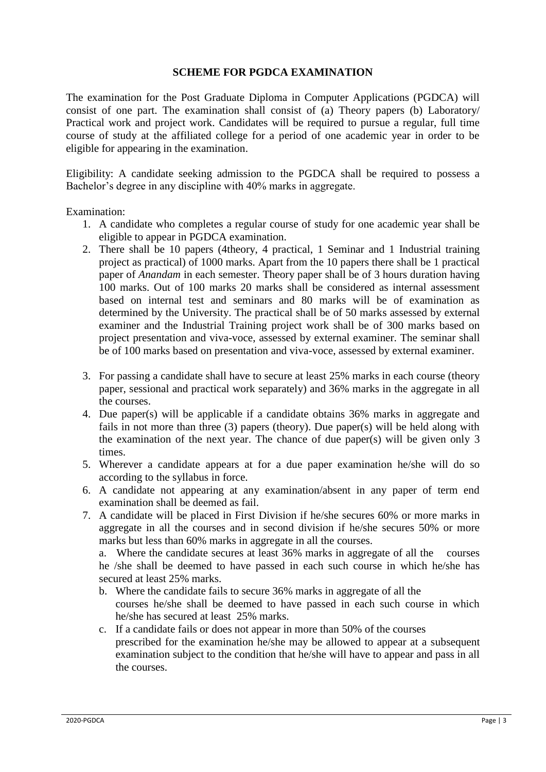# **SCHEME FOR PGDCA EXAMINATION**

The examination for the Post Graduate Diploma in Computer Applications (PGDCA) will consist of one part. The examination shall consist of (a) Theory papers (b) Laboratory/ Practical work and project work. Candidates will be required to pursue a regular, full time course of study at the affiliated college for a period of one academic year in order to be eligible for appearing in the examination.

Eligibility: A candidate seeking admission to the PGDCA shall be required to possess a Bachelor's degree in any discipline with 40% marks in aggregate.

Examination:

- 1. A candidate who completes a regular course of study for one academic year shall be eligible to appear in PGDCA examination.
- 2. There shall be 10 papers (4theory, 4 practical, 1 Seminar and 1 Industrial training project as practical) of 1000 marks. Apart from the 10 papers there shall be 1 practical paper of *Anandam* in each semester. Theory paper shall be of 3 hours duration having 100 marks. Out of 100 marks 20 marks shall be considered as internal assessment based on internal test and seminars and 80 marks will be of examination as determined by the University. The practical shall be of 50 marks assessed by external examiner and the Industrial Training project work shall be of 300 marks based on project presentation and viva-voce, assessed by external examiner. The seminar shall be of 100 marks based on presentation and viva-voce, assessed by external examiner.
- 3. For passing a candidate shall have to secure at least 25% marks in each course (theory paper, sessional and practical work separately) and 36% marks in the aggregate in all the courses.
- 4. Due paper(s) will be applicable if a candidate obtains 36% marks in aggregate and fails in not more than three (3) papers (theory). Due paper(s) will be held along with the examination of the next year. The chance of due paper(s) will be given only 3 times.
- 5. Wherever a candidate appears at for a due paper examination he/she will do so according to the syllabus in force.
- 6. A candidate not appearing at any examination/absent in any paper of term end examination shall be deemed as fail.
- 7. A candidate will be placed in First Division if he/she secures 60% or more marks in aggregate in all the courses and in second division if he/she secures 50% or more marks but less than 60% marks in aggregate in all the courses.

a. Where the candidate secures at least 36% marks in aggregate of all the courses he /she shall be deemed to have passed in each such course in which he/she has secured at least 25% marks.

- b. Where the candidate fails to secure 36% marks in aggregate of all the courses he/she shall be deemed to have passed in each such course in which he/she has secured at least 25% marks.
- c. If a candidate fails or does not appear in more than 50% of the courses prescribed for the examination he/she may be allowed to appear at a subsequent examination subject to the condition that he/she will have to appear and pass in all the courses.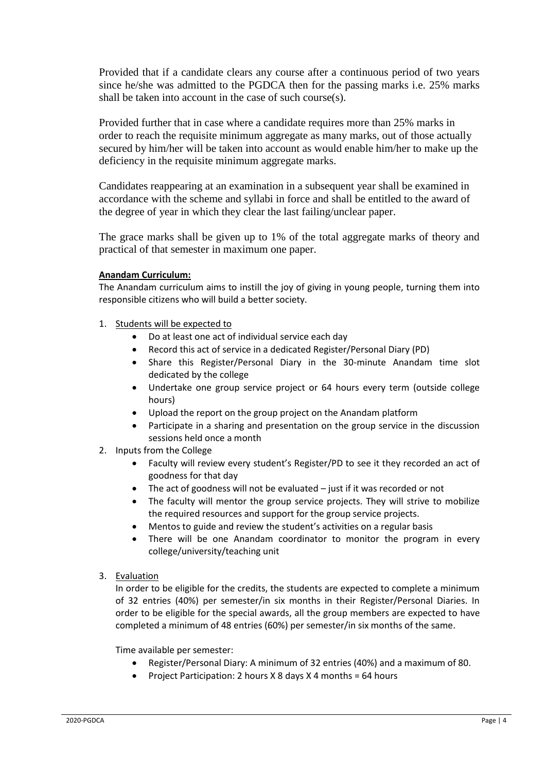Provided that if a candidate clears any course after a continuous period of two years since he/she was admitted to the PGDCA then for the passing marks i.e. 25% marks shall be taken into account in the case of such course(s).

Provided further that in case where a candidate requires more than 25% marks in order to reach the requisite minimum aggregate as many marks, out of those actually secured by him/her will be taken into account as would enable him/her to make up the deficiency in the requisite minimum aggregate marks.

Candidates reappearing at an examination in a subsequent year shall be examined in accordance with the scheme and syllabi in force and shall be entitled to the award of the degree of year in which they clear the last failing/unclear paper.

The grace marks shall be given up to 1% of the total aggregate marks of theory and practical of that semester in maximum one paper.

#### **Anandam Curriculum:**

The Anandam curriculum aims to instill the joy of giving in young people, turning them into responsible citizens who will build a better society.

- 1. Students will be expected to
	- Do at least one act of individual service each day
	- Record this act of service in a dedicated Register/Personal Diary (PD)
	- Share this Register/Personal Diary in the 30-minute Anandam time slot dedicated by the college
	- Undertake one group service project or 64 hours every term (outside college hours)
	- Upload the report on the group project on the Anandam platform
	- Participate in a sharing and presentation on the group service in the discussion sessions held once a month
- 2. Inputs from the College
	- Faculty will review every student's Register/PD to see it they recorded an act of goodness for that day
	- The act of goodness will not be evaluated just if it was recorded or not
	- The faculty will mentor the group service projects. They will strive to mobilize the required resources and support for the group service projects.
	- Mentos to guide and review the student's activities on a regular basis
	- There will be one Anandam coordinator to monitor the program in every college/university/teaching unit
- 3. Evaluation

In order to be eligible for the credits, the students are expected to complete a minimum of 32 entries (40%) per semester/in six months in their Register/Personal Diaries. In order to be eligible for the special awards, all the group members are expected to have completed a minimum of 48 entries (60%) per semester/in six months of the same.

Time available per semester:

- Register/Personal Diary: A minimum of 32 entries (40%) and a maximum of 80.
- Project Participation: 2 hours X 8 days X 4 months = 64 hours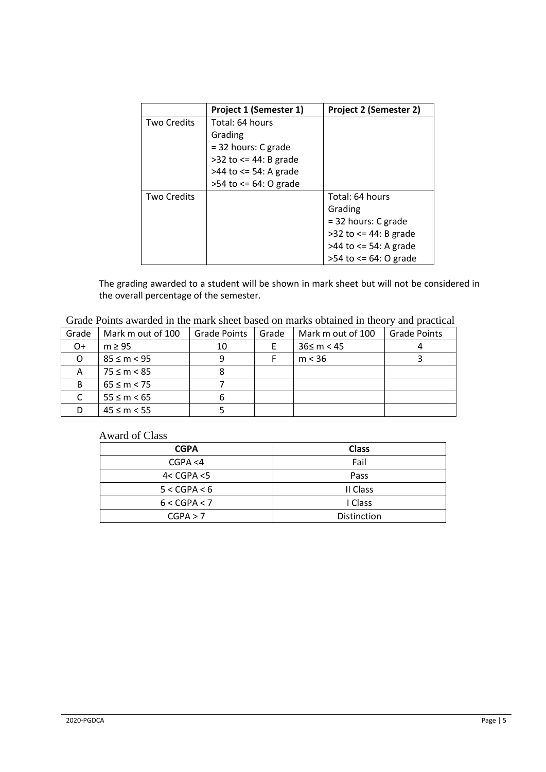|                    | Project 1 (Semester 1)       | Project 2 (Semester 2)      |
|--------------------|------------------------------|-----------------------------|
| <b>Two Credits</b> | Total: 64 hours              |                             |
|                    | Grading                      |                             |
|                    | $=$ 32 hours: C grade        |                             |
|                    | $>32$ to $\leq$ 44: B grade  |                             |
|                    | $>44$ to $\leq$ 54: A grade  |                             |
|                    | $>54$ to $\leq 64$ : O grade |                             |
| <b>Two Credits</b> |                              | Total: 64 hours             |
|                    |                              | Grading                     |
|                    |                              | $=$ 32 hours: C grade       |
|                    |                              | $>32$ to $\leq$ 44: B grade |
|                    |                              | >44 to <= 54: A grade       |
|                    |                              | $>54$ to $<= 64$ : O grade  |

The grading awarded to a student will be shown in mark sheet but will not be considered in the overall percentage of the semester.

Grade Points awarded in the mark sheet based on marks obtained in theory and practical

| Grade | Mark m out of 100 | <b>Grade Points</b> | Grade | Mark m out of 100 | <b>Grade Points</b> |
|-------|-------------------|---------------------|-------|-------------------|---------------------|
| $O+$  | $m \geq 95$       | 10                  |       | $36 \le m < 45$   |                     |
|       | $85 \le m < 95$   | 9                   |       | m < 36            |                     |
| А     | $75 \le m < 85$   | 8                   |       |                   |                     |
| B     | $65 \le m < 75$   |                     |       |                   |                     |
|       | $55 \le m \le 65$ | 6                   |       |                   |                     |
|       | $45 \le m < 55$   |                     |       |                   |                     |

### Award of Class

| <b>CGPA</b>  | <b>Class</b>       |
|--------------|--------------------|
| CGPA < 4     | Fail               |
| 4 < CGPA < 5 | Pass               |
| 5 < CGPA < 6 | II Class           |
| 6 < CGPA < 7 | I Class            |
| CGPA > 7     | <b>Distinction</b> |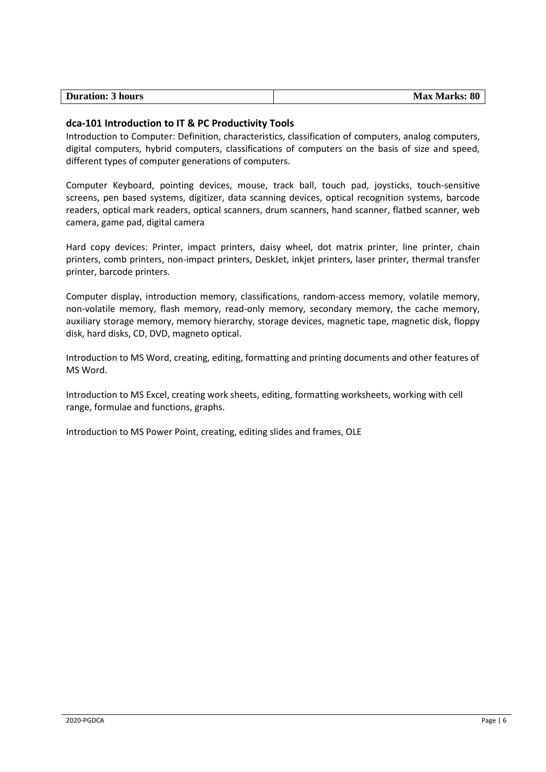#### **dca-101 Introduction to IT & PC Productivity Tools**

Introduction to Computer: Definition, characteristics, classification of computers, analog computers, digital computers, hybrid computers, classifications of computers on the basis of size and speed, different types of computer generations of computers.

Computer Keyboard, pointing devices, mouse, track ball, touch pad, joysticks, touch-sensitive screens, pen based systems, digitizer, data scanning devices, optical recognition systems, barcode readers, optical mark readers, optical scanners, drum scanners, hand scanner, flatbed scanner, web camera, game pad, digital camera

Hard copy devices: Printer, impact printers, daisy wheel, dot matrix printer, line printer, chain printers, comb printers, non-impact printers, DeskJet, inkjet printers, laser printer, thermal transfer printer, barcode printers.

Computer display, introduction memory, classifications, random-access memory, volatile memory, non-volatile memory, flash memory, read-only memory, secondary memory, the cache memory, auxiliary storage memory, memory hierarchy, storage devices, magnetic tape, magnetic disk, floppy disk, hard disks, CD, DVD, magneto optical.

Introduction to MS Word, creating, editing, formatting and printing documents and other features of MS Word.

Introduction to MS Excel, creating work sheets, editing, formatting worksheets, working with cell range, formulae and functions, graphs.

Introduction to MS Power Point, creating, editing slides and frames, OLE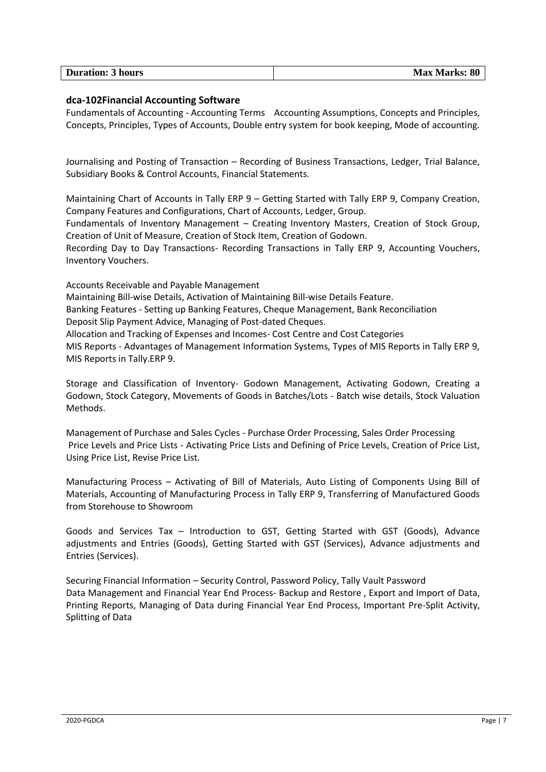| <b>Duration: 3 hours</b> | <b>Max Marks: 80</b> |
|--------------------------|----------------------|

#### **dca-102Financial Accounting Software**

Fundamentals of Accounting - Accounting Terms Accounting Assumptions, Concepts and Principles, Concepts, Principles, Types of Accounts, Double entry system for book keeping, Mode of accounting.

Journalising and Posting of Transaction – Recording of Business Transactions, Ledger, Trial Balance, Subsidiary Books & Control Accounts, Financial Statements.

Maintaining Chart of Accounts in Tally ERP 9 – Getting Started with Tally ERP 9, Company Creation, Company Features and Configurations, Chart of Accounts, Ledger, Group.

Fundamentals of Inventory Management – Creating Inventory Masters, Creation of Stock Group, Creation of Unit of Measure, Creation of Stock Item, Creation of Godown.

Recording Day to Day Transactions- Recording Transactions in Tally ERP 9, Accounting Vouchers, Inventory Vouchers.

Accounts Receivable and Payable Management

Maintaining Bill-wise Details, Activation of Maintaining Bill-wise Details Feature. Banking Features - Setting up Banking Features, Cheque Management, Bank Reconciliation

Deposit Slip Payment Advice, Managing of Post-dated Cheques.

Allocation and Tracking of Expenses and Incomes- Cost Centre and Cost Categories

MIS Reports - Advantages of Management Information Systems, Types of MIS Reports in Tally ERP 9, MIS Reports in Tally.ERP 9.

Storage and Classification of Inventory- Godown Management, Activating Godown, Creating a Godown, Stock Category, Movements of Goods in Batches/Lots - Batch wise details, Stock Valuation Methods.

Management of Purchase and Sales Cycles - Purchase Order Processing, Sales Order Processing Price Levels and Price Lists - Activating Price Lists and Defining of Price Levels, Creation of Price List, Using Price List, Revise Price List.

Manufacturing Process – Activating of Bill of Materials, Auto Listing of Components Using Bill of Materials, Accounting of Manufacturing Process in Tally ERP 9, Transferring of Manufactured Goods from Storehouse to Showroom

Goods and Services Tax – Introduction to GST, Getting Started with GST (Goods), Advance adjustments and Entries (Goods), Getting Started with GST (Services), Advance adjustments and Entries (Services).

Securing Financial Information – Security Control, Password Policy, Tally Vault Password Data Management and Financial Year End Process- Backup and Restore , Export and Import of Data, Printing Reports, Managing of Data during Financial Year End Process, Important Pre-Split Activity, Splitting of Data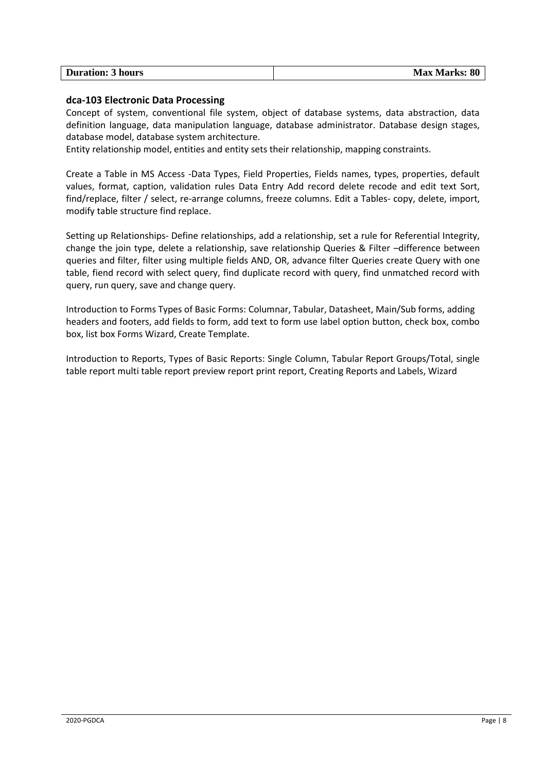| <b>Duration: 3 hours</b> | <b>Max Marks: 80</b> |
|--------------------------|----------------------|
|                          |                      |

#### **dca-103 Electronic Data Processing**

Concept of system, conventional file system, object of database systems, data abstraction, data definition language, data manipulation language, database administrator. Database design stages, database model, database system architecture.

Entity relationship model, entities and entity sets their relationship, mapping constraints.

Create a Table in MS Access -Data Types, Field Properties, Fields names, types, properties, default values, format, caption, validation rules Data Entry Add record delete recode and edit text Sort, find/replace, filter / select, re-arrange columns, freeze columns. Edit a Tables- copy, delete, import, modify table structure find replace.

Setting up Relationships- Define relationships, add a relationship, set a rule for Referential Integrity, change the join type, delete a relationship, save relationship Queries & Filter –difference between queries and filter, filter using multiple fields AND, OR, advance filter Queries create Query with one table, fiend record with select query, find duplicate record with query, find unmatched record with query, run query, save and change query.

Introduction to Forms Types of Basic Forms: Columnar, Tabular, Datasheet, Main/Sub forms, adding headers and footers, add fields to form, add text to form use label option button, check box, combo box, list box Forms Wizard, Create Template.

Introduction to Reports, Types of Basic Reports: Single Column, Tabular Report Groups/Total, single table report multi table report preview report print report, Creating Reports and Labels, Wizard